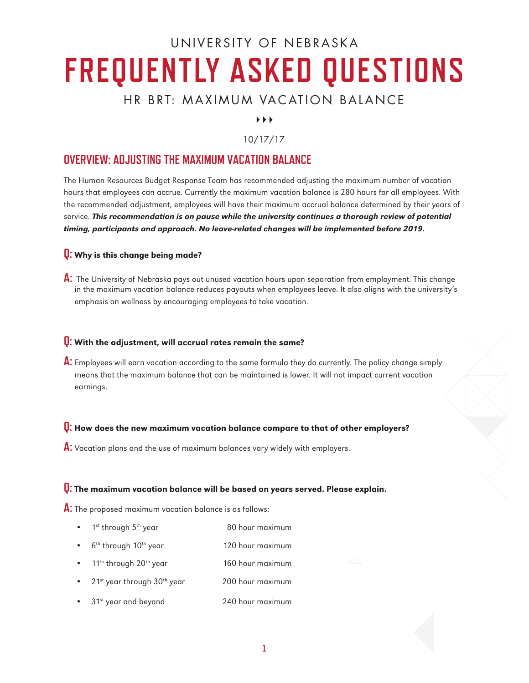# UNIVERSITY OF NEBRASKA **FREQUENTLY ASKED QUESTIONS**

## HR BRT: MAXIMUM VACATION BALANCE

 $\blacktriangleright$   $\blacktriangleright$   $\blacktriangleright$ 

## 10/17/17

## **OVERVIEW: ADJUSTING THE MAXIMUM VACATION BALANCE**

The Human Resources Budget Response Team has recommended adjusting the maximum number of vacation hours that employees can accrue. Currently the maximum vacation balance is 280 hours for all employees. With the recommended adjustment, employees will have their maximum accrual balance determined by their years of service. This recommendation is on pause while the university continues a thorough review of potential timing, participants and approach. No leave-related changes will be implemented before 2019.

## **Q:** Why is this change being made?

**A:** The University of Nebraska pays out unused vacation hours upon separation from employment. This change in the maximum vacation balance reduces payouts when employees leave. It also aligns with the university's emphasis on wellness by encouraging employees to take vacation.

### **Q:** With the adjustment, will accrual rates remain the same?

**A:** Employees will earn vacation according to the same formula they do currently. The policy change simply means that the maximum balance that can be maintained is lower. It will not impact current vacation earnings.

## **Q:** How does the new maximum vacation balance compare to that of other employers?

**A:** Vacation plans and the use of maximum balances vary widely with employers.

#### **Q:** The maximum vacation balance will be based on years served. Please explain.

**A:** The proposed maximum vacation balance is as follows:

- 1<sup>st</sup> through 5<sup>th</sup> year 80 hour maximum
- $6<sup>th</sup>$  through  $10<sup>th</sup>$  year 120 hour maximum
- 11<sup>th</sup> through 20<sup>th</sup> year 160 hour maximum
- 21<sup>st</sup> year through 30<sup>th</sup> year 200 hour maximum
- 31<sup>st</sup> year and beyond 240 hour maximum